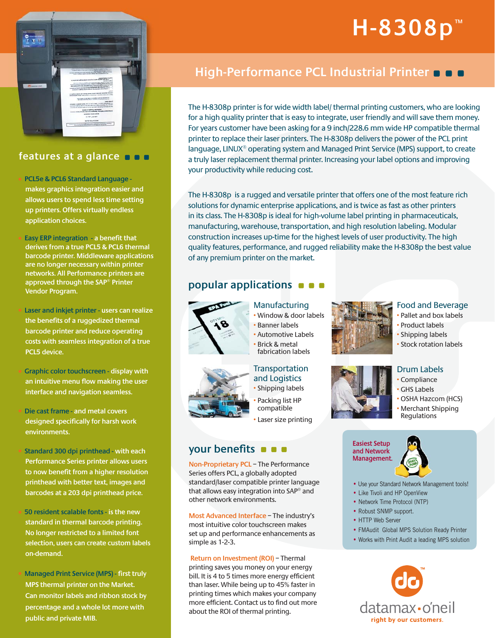# **H-8308p ™**



### **features at a glance**

• **PCL5e & PCL6 Standard Language makes graphics integration easier and allows users to spend less time setting up printers. Offers virtually endless application choices.**

• **Easy ERP integration - a benefit that derives from a true PCL5 & PCL6 thermal barcode printer. Middleware applications are no longer necessary within printer networks. All Performance printers are approved through the SAP® Printer Vendor Program.**

• **Laser and inkjet printer - users can realize the benefits of a ruggedized thermal barcode printer and reduce operating costs with seamless integration of a true PCL5 device.**

• **Graphic color touchscreen - display with an intuitive menu flow making the user interface and navigation seamless.**

• **Die cast frame - and metal covers designed specifically for harsh work environments.**

• **Standard 300 dpi printhead - with each Performance Series printer allows users to now benefit from a higher resolution printhead with better text, images and barcodes at a 203 dpi printhead price.**

• **50 resident scalable fonts - is the new standard in thermal barcode printing. No longer restricted to a limited font selection, users can create custom labels on-demand.**

• **Managed Print Service (MPS) - first truly MPS thermal printer on the Market. Can monitor labels and ribbon stock by percentage and a whole lot more with public and private MIB.** 

## **High-Performance PCL Industrial Printer**

The H-8308p printer is for wide width label/ thermal printing customers, who are looking for a high quality printer that is easy to integrate, user friendly and will save them money. For years customer have been asking for a 9 inch/228.6 mm wide HP compatible thermal printer to replace their laser printers. The H-8308p delivers the power of the PCL print language, LINUX® operating system and Managed Print Service (MPS) support, to create a truly laser replacement thermal printer. Increasing your label options and improving your productivity while reducing cost.

The H-8308p is a rugged and versatile printer that offers one of the most feature rich solutions for dynamic enterprise applications, and is twice as fast as other printers in its class. The H-8308p is ideal for high-volume label printing in pharmaceuticals, manufacturing, warehouse, transportation, and high resolution labeling. Modular construction increases up-time for the highest levels of user productivity. The high quality features, performance, and rugged reliability make the H-8308p the best value of any premium printer on the market.

## **popular applications**



#### Manufacturing

- Window & door labels
- Banner labels
- Automotive Labels
- Brick & metal fabrication labels

#### **Transportation** and Logistics • Shipping labels

• Packing list HP compatible • Laser size printing

## **your benefits <b>Easiest** Setup and Network

**Non-Proprietary PCL** – The Performance Series offers PCL, a globally adopted standard/laser compatible printer language that allows easy integration into SAP® and other network environments.

**Most Advanced Interface** – The industry's most intuitive color touchscreen makes set up and performance enhancements as simple as 1-2-3.

 **Return on Investment (ROI)** – Thermal printing saves you money on your energy bill. It is 4 to 5 times more energy efficient than laser. While being up to 45% faster in printing times which makes your company more efficient. Contact us to find out more about the ROI of thermal printing.



#### Food and Beverage Pallet and box labels

- Product labels
- Shipping labels
- Stock rotation labels

#### Drum Labels

- Compliance
- **GHS Labels**
- OSHA Hazcom (HCS)
- Merchant Shipping **Requlations**

# **and Network Management.**



**•** Use your Standard Network Management tools!

- Like Tivoli and HP OpenView
- Network Time Protocol (NTP)
- Robust SNMP support.
- HTTP Web Server
- FMAudit Global MPS Solution Ready Printer
- Works with Print Audit a leading MPS solution